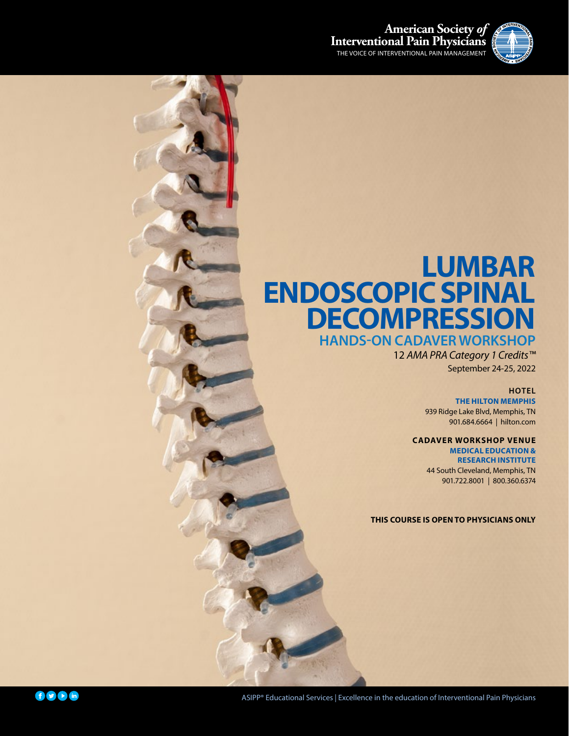

# **LUMBAR ENDOSCOPIC SPINAL DECOMPRESSION HANDS-ON CADAVER WORKSHOP**

12 *AMA PRA Category 1 Credits™* September 24-25, 2022

### **HOTEL**

**THE HILTON MEMPHIS** 939 Ridge Lake Blvd, Memphis, TN 901.684.6664 | hilton.com

### **CADAVER WORKSHOP VENUE MEDICAL EDUCATION & RESEARCH INSTITUTE**

44 South Cleveland, Memphis, TN 901.722.8001 | 800.360.6374

**THIS COURSE IS OPEN TO PHYSICIANS ONLY**

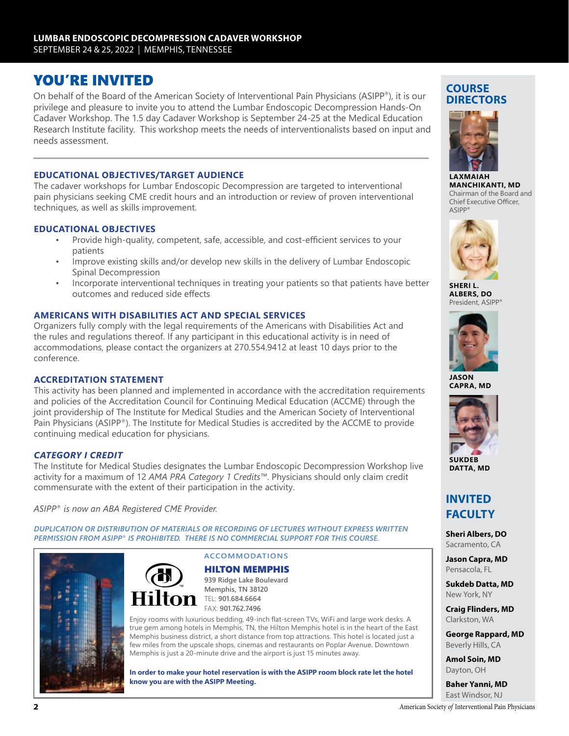# YOU'RE INVITED

On behalf of the Board of the American Society of Interventional Pain Physicians (ASIPP®), it is our privilege and pleasure to invite you to attend the Lumbar Endoscopic Decompression Hands-On Cadaver Workshop. The 1.5 day Cadaver Workshop is September 24-25 at the Medical Education Research Institute facility. This workshop meets the needs of interventionalists based on input and needs assessment.

## **EDUCATIONAL OBJECTIVES/TARGET AUDIENCE**

The cadaver workshops for Lumbar Endoscopic Decompression are targeted to interventional pain physicians seeking CME credit hours and an introduction or review of proven interventional techniques, as well as skills improvement.

## **EDUCATIONAL OBJECTIVES**

- Provide high-quality, competent, safe, accessible, and cost-efficient services to your patients
- Improve existing skills and/or develop new skills in the delivery of Lumbar Endoscopic Spinal Decompression
- Incorporate interventional techniques in treating your patients so that patients have better outcomes and reduced side effects

## **AMERICANS WITH DISABILITIES ACT AND SPECIAL SERVICES**

Organizers fully comply with the legal requirements of the Americans with Disabilities Act and the rules and regulations thereof. If any participant in this educational activity is in need of accommodations, please contact the organizers at 270.554.9412 at least 10 days prior to the conference.

## **ACCREDITATION STATEMENT**

This activity has been planned and implemented in accordance with the accreditation requirements and policies of the Accreditation Council for Continuing Medical Education (ACCME) through the joint providership of The Institute for Medical Studies and the American Society of Interventional Pain Physicians (ASIPP®). The Institute for Medical Studies is accredited by the ACCME to provide continuing medical education for physicians.

## *CATEGORY I CREDIT*

The Institute for Medical Studies designates the Lumbar Endoscopic Decompression Workshop live activity for a maximum of 12 *AMA PRA Category 1 Credits™*. Physicians should only claim credit commensurate with the extent of their participation in the activity.

*ASIPP® is now an ABA Registered CME Provider.*

*DUPLICATION OR DISTRIBUTION OF MATERIALS OR RECORDING OF LECTURES WITHOUT EXPRESS WRITTEN PERMISSION FROM ASIPP® IS PROHIBITED. THERE IS NO COMMERCIAL SUPPORT FOR THIS COURSE.*



## **ACCOMMODATIONS**

HILTON MEMPHIS **939 Ridge Lake Boulevard Memphis, TN 38120** TEL: **901.684.6664**  FAX: **901.762.7496** 

Enjoy rooms with luxurious bedding, 49-inch flat-screen TVs, WiFi and large work desks. A

true gem among hotels in Memphis, TN, the Hilton Memphis hotel is in the heart of the East Memphis business district, a short distance from top attractions. This hotel is located just a few miles from the upscale shops, cinemas and restaurants on Poplar Avenue. Downtown Memphis is just a 20-minute drive and the airport is just 15 minutes away.

**In order to make your hotel reservation is with the ASIPP room block rate let the hotel know you are with the ASIPP Meeting.**

# **COURSE DIRECTORS**



**LAXMAIAH MANCHIKANTI, MD** Chairman of the Board and Chief Executive Officer,  $\Delta$ SIPP®



**SHERI L. ALBERS, DO** President, ASIPP®



**JASON CAPRA, MD**



**DATTA, MD**

# **INVITED FACULTY**

**Sheri Albers, DO** Sacramento, CA

**Jason Capra, MD**  Pensacola, FL

**Sukdeb Datta, MD** New York, NY

**Craig Flinders, MD** Clarkston, WA

**George Rappard, MD** Beverly Hills, CA

**Amol Soin, MD**  Dayton, OH

**Baher Yanni, MD** East Windsor, NJ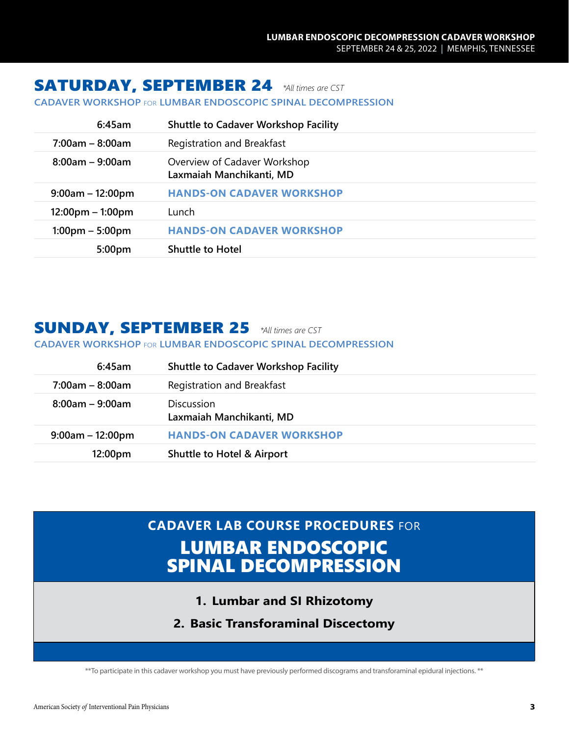# SATURDAY, SEPTEMBER 24 *\*All times are CST*

**CADAVER WORKSHOP** FOR **LUMBAR ENDOSCOPIC SPINAL DECOMPRESSION**

| 6:45am                             | <b>Shuttle to Cadaver Workshop Facility</b>              |
|------------------------------------|----------------------------------------------------------|
| $7:00am - 8:00am$                  | Registration and Breakfast                               |
| $8:00am - 9:00am$                  | Overview of Cadaver Workshop<br>Laxmaiah Manchikanti, MD |
| $9:00am - 12:00pm$                 | <b>HANDS-ON CADAVER WORKSHOP</b>                         |
| $12:00 \text{pm} - 1:00 \text{pm}$ | Lunch                                                    |
| $1:00 \text{pm} - 5:00 \text{pm}$  | <b>HANDS-ON CADAVER WORKSHOP</b>                         |
| 5:00 <sub>pm</sub>                 | <b>Shuttle to Hotel</b>                                  |
|                                    |                                                          |

# SUNDAY, SEPTEMBER 25 *\*All times are CST*

# **CADAVER WORKSHOP** FOR **LUMBAR ENDOSCOPIC SPINAL DECOMPRESSION**

| $6:45$ am          | <b>Shuttle to Cadaver Workshop Facility</b>   |
|--------------------|-----------------------------------------------|
| $7:00$ am – 8:00am | Registration and Breakfast                    |
| $8:00am - 9:00am$  | <b>Discussion</b><br>Laxmaiah Manchikanti, MD |
| $9:00am - 12:00pm$ | <b>HANDS-ON CADAVER WORKSHOP</b>              |
| 12:00pm            | <b>Shuttle to Hotel &amp; Airport</b>         |

# **CADAVER LAB COURSE PROCEDURES** FOR LUMBAR ENDOSCOPIC SPINAL DECOMPRESSION

- **1. Lumbar and SI Rhizotomy**
- **2. Basic Transforaminal Discectomy**

\*\*To participate in this cadaver workshop you must have previously performed discograms and transforaminal epidural injections. \*\*